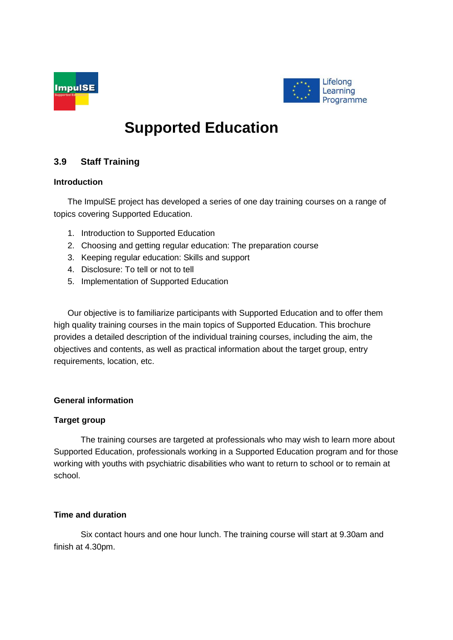



# **Supported Education**

## **3.9 Staff Training**

## **Introduction**

The ImpulSE project has developed a series of one day training courses on a range of topics covering Supported Education.

- 1. Introduction to Supported Education
- 2. Choosing and getting regular education: The preparation course
- 3. Keeping regular education: Skills and support
- 4. Disclosure: To tell or not to tell
- 5. Implementation of Supported Education

Our objective is to familiarize participants with Supported Education and to offer them high quality training courses in the main topics of Supported Education. This brochure provides a detailed description of the individual training courses, including the aim, the objectives and contents, as well as practical information about the target group, entry requirements, location, etc.

## **General information**

## **Target group**

The training courses are targeted at professionals who may wish to learn more about Supported Education, professionals working in a Supported Education program and for those working with youths with psychiatric disabilities who want to return to school or to remain at school.

## **Time and duration**

Six contact hours and one hour lunch. The training course will start at 9.30am and finish at 4.30pm.